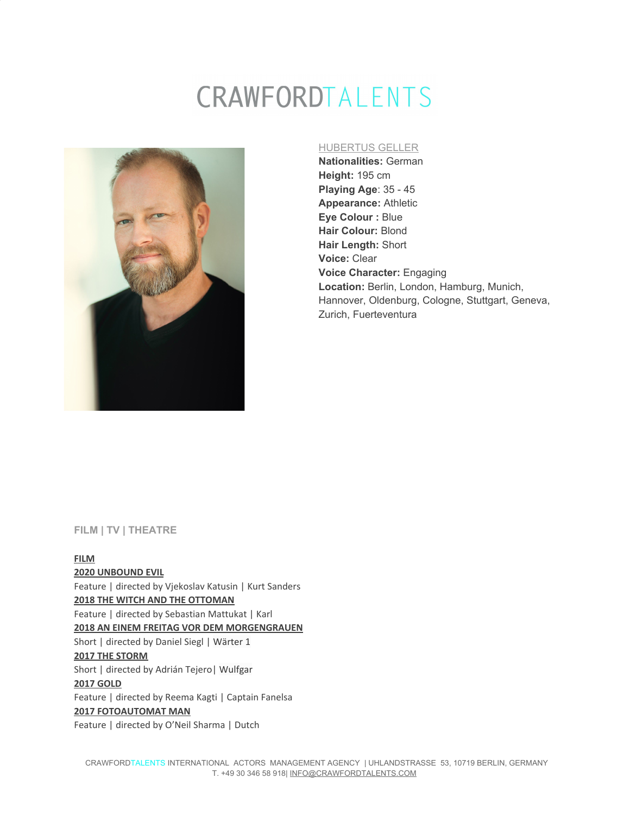# CRAWFORDTALENTS



#### HUBERTUS GELLER

**Nationalities:** German **Height:** 195 cm **Playing Age**: 35 - 45 **Appearance:** Athletic **Eye Colour :** Blue **Hair Colour:** Blond **Hair Length:** Short **Voice:** Clear **Voice Character:** Engaging **Location:** Berlin, London, Hamburg, Munich, Hannover, Oldenburg, Cologne, Stuttgart, Geneva, Zurich, Fuerteventura

#### **FILM | TV | THEATRE**

**FILM 2020 UNBOUND EVIL** Feature | directed by Vjekoslav Katusin | Kurt Sanders **2018 THE WITCH AND THE OTTOMAN** Feature | directed by Sebastian Mattukat | Karl **2018 AN EINEM FREITAG VOR DEM MORGENGRAUEN** Short | directed by Daniel Siegl | Wärter 1 **2017 THE STORM** Short | directed by Adrián Tejero| Wulfgar **2017 GOLD** Feature | directed by Reema Kagti | Captain Fanelsa **2017 FOTOAUTOMAT MAN** Feature | directed by O'Neil Sharma | Dutch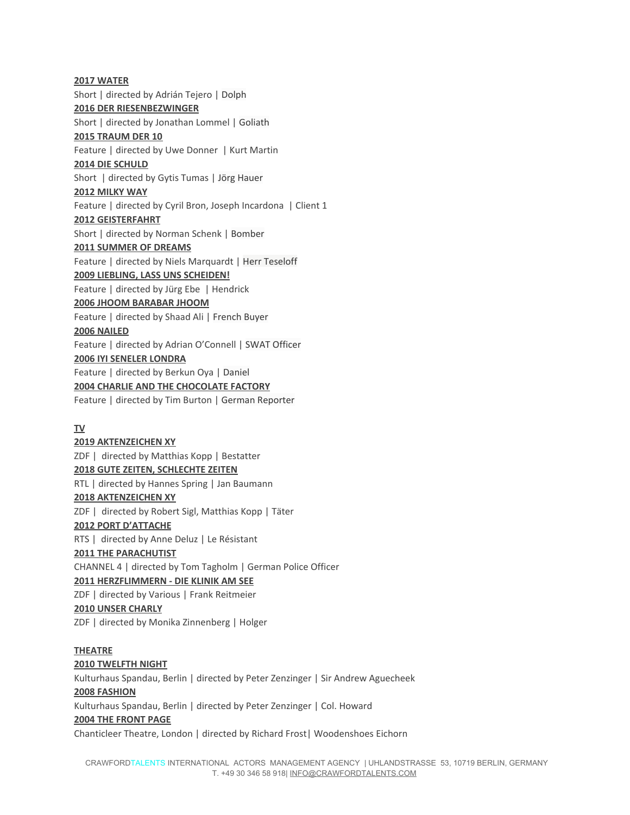**2017 WATER** Short | directed by Adrián Tejero | Dolph **2016 DER RIESENBEZWINGER** Short | directed by Jonathan Lommel | Goliath **2015 TRAUM DER 10** Feature | directed by Uwe Donner | Kurt Martin **2014 DIE SCHULD** Short | directed by Gytis Tumas | Jörg Hauer **2012 MILKY WAY** Feature | directed by Cyril Bron, Joseph Incardona | Client 1 **2012 GEISTERFAHRT** Short | directed by Norman Schenk | Bomber **2011 SUMMER OF DREAMS** Feature | directed by Niels Marquardt | Herr Teseloff **2009 LIEBLING, LASS UNS SCHEIDEN!** Feature | directed by Jürg Ebe | Hendrick **2006 JHOOM BARABAR JHOOM** Feature | directed by Shaad Ali | French Buyer **2006 NAILED** Feature | directed by Adrian O'Connell | SWAT Officer **2006 IYI SENELER LONDRA** Feature | directed by Berkun Oya | Daniel **2004 CHARLIE AND THE CHOCOLATE FACTORY** Feature | directed by Tim Burton | German Reporter

#### **TV**

#### **2019 AKTENZEICHEN XY**

ZDF | directed by Matthias Kopp | Bestatter **2018 GUTE ZEITEN, SCHLECHTE ZEITEN** RTL | directed by Hannes Spring | Jan Baumann **2018 AKTENZEICHEN XY** ZDF | directed by Robert Sigl, Matthias Kopp | Täter **2012 PORT D'ATTACHE** RTS | directed by Anne Deluz | Le Résistant **2011 THE PARACHUTIST** CHANNEL 4 | directed by Tom Tagholm | German Police Officer **2011 HERZFLIMMERN - DIE KLINIK AM SEE** ZDF | directed by Various | Frank Reitmeier **2010 UNSER CHARLY** ZDF | directed by Monika Zinnenberg | Holger

#### **THEATRE**

#### **2010 TWELFTH NIGHT**

Kulturhaus Spandau, Berlin | directed by Peter Zenzinger | Sir Andrew Aguecheek **2008 FASHION** Kulturhaus Spandau, Berlin | directed by Peter Zenzinger | Col. Howard **2004 THE FRONT PAGE** Chanticleer Theatre, London | directed by Richard Frost| Woodenshoes Eichorn

 CRAWFORDTALENTS INTERNATIONAL ACTORS MANAGEMENT AGENCY | UHLANDSTRASSE 53, 10719 BERLIN, GERMANY T. +49 30 346 58 918| INFO@CRAWFORDTALENTS.COM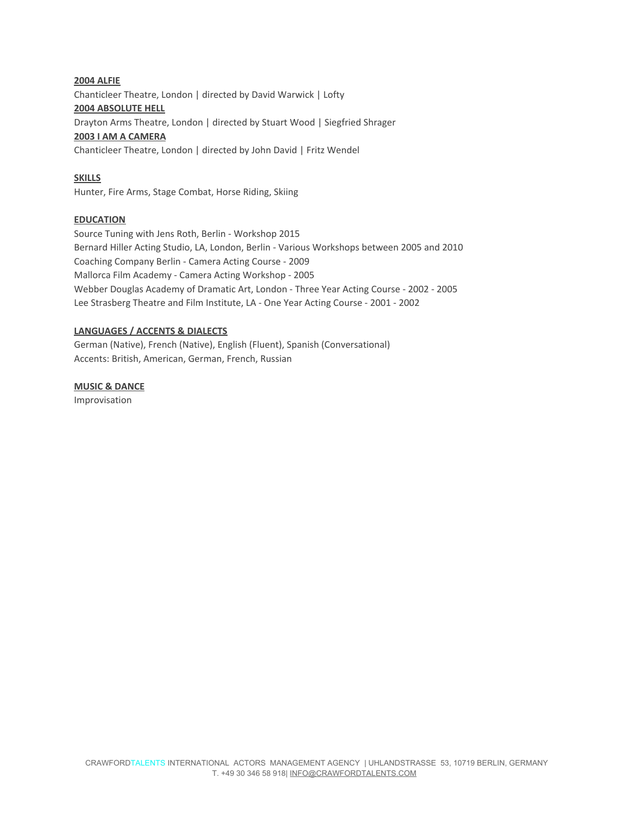#### **2004 ALFIE**

Chanticleer Theatre, London | directed by David Warwick | Lofty

## **2004 ABSOLUTE HELL**

Drayton Arms Theatre, London | directed by Stuart Wood | Siegfried Shrager

#### **2003 I AM A CAMERA**

Chanticleer Theatre, London | directed by John David | Fritz Wendel

## **SKILLS**

Hunter, Fire Arms, Stage Combat, Horse Riding, Skiing

## **EDUCATION**

Source Tuning with Jens Roth, Berlin - Workshop 2015 Bernard Hiller Acting Studio, LA, London, Berlin - Various Workshops between 2005 and 2010 Coaching Company Berlin - Camera Acting Course - 2009 Mallorca Film Academy - Camera Acting Workshop - 2005 Webber Douglas Academy of Dramatic Art, London - Three Year Acting Course - 2002 - 2005 Lee Strasberg Theatre and Film Institute, LA - One Year Acting Course - 2001 - 2002

## **LANGUAGES / ACCENTS & DIALECTS**

German (Native), French (Native), English (Fluent), Spanish (Conversational) Accents: British, American, German, French, Russian

**MUSIC & DANCE**

Improvisation